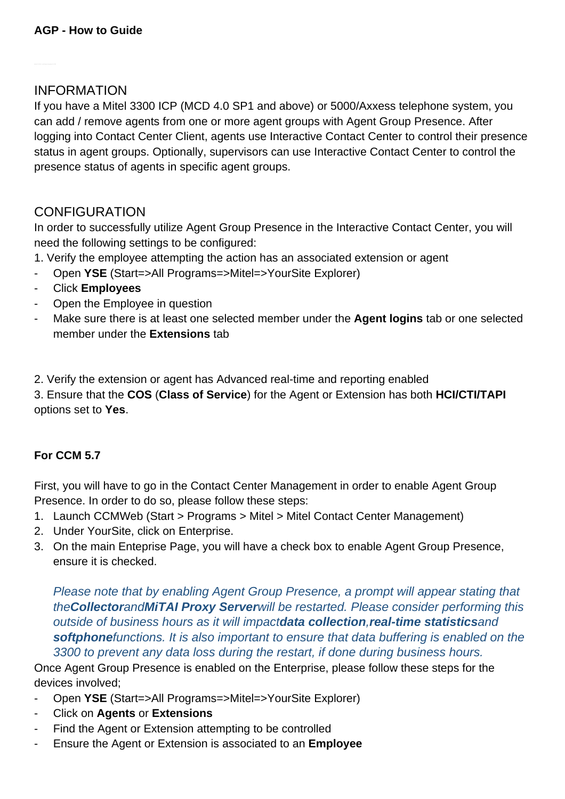### INFORMATION

If you have a Mitel 3300 ICP (MCD 4.0 SP1 and above) or 5000/Axxess telephone system, you can add / remove agents from one or more agent groups with Agent Group Presence. After logging into Contact Center Client, agents use Interactive Contact Center to control their presence status in agent groups. Optionally, supervisors can use Interactive Contact Center to control the presence status of agents in specific agent groups.

## **CONFIGURATION**

In order to successfully utilize Agent Group Presence in the Interactive Contact Center, you will need the following settings to be configured:

- 1. Verify the employee attempting the action has an associated extension or agent
- Open **YSE** (Start=>All Programs=>Mitel=>YourSite Explorer)
- Click **Employees**
- Open the Employee in question
- Make sure there is at least one selected member under the **Agent logins** tab or one selected member under the **Extensions** tab
- 2. Verify the extension or agent has Advanced real-time and reporting enabled

3. Ensure that the **COS** (**Class of Service**) for the Agent or Extension has both **HCI/CTI/TAPI** options set to **Yes**.

#### **For CCM 5.7**

First, you will have to go in the Contact Center Management in order to enable Agent Group Presence. In order to do so, please follow these steps:

- 1. Launch CCMWeb (Start > Programs > Mitel > Mitel Contact Center Management)
- 2. Under YourSite, click on Enterprise.
- 3. On the main Enteprise Page, you will have a check box to enable Agent Group Presence, ensure it is checked.

Please note that by enabling Agent Group Presence, a prompt will appear stating that the**Collector**and**MiTAI Proxy Server**will be restarted. Please consider performing this outside of business hours as it will impact**data collection**,**real-time statistics**and **softphone**functions. It is also important to ensure that data buffering is enabled on the 3300 to prevent any data loss during the restart, if done during business hours.

Once Agent Group Presence is enabled on the Enterprise, please follow these steps for the devices involved;

- Open **YSE** (Start=>All Programs=>Mitel=>YourSite Explorer)
- Click on **Agents** or **Extensions**
- Find the Agent or Extension attempting to be controlled
- Ensure the Agent or Extension is associated to an **Employee**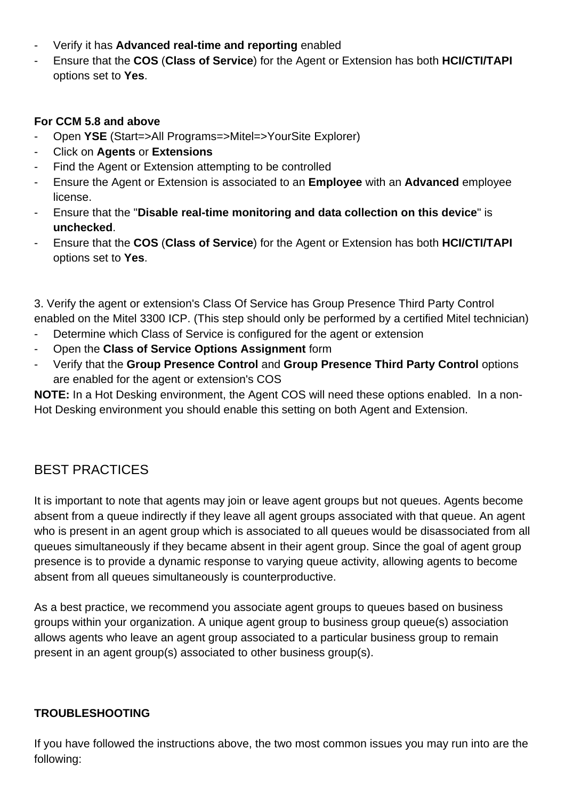- Verify it has **Advanced real-time and reporting** enabled
- Ensure that the **COS** (**Class of Service**) for the Agent or Extension has both **HCI/CTI/TAPI** options set to **Yes**.

#### **For CCM 5.8 and above**

- Open **YSE** (Start=>All Programs=>Mitel=>YourSite Explorer)
- Click on **Agents** or **Extensions**
- Find the Agent or Extension attempting to be controlled
- Ensure the Agent or Extension is associated to an **Employee** with an **Advanced** employee license.
- Ensure that the "**Disable real-time monitoring and data collection on this device**" is **unchecked**.
- Ensure that the **COS** (**Class of Service**) for the Agent or Extension has both **HCI/CTI/TAPI** options set to **Yes**.

3. Verify the agent or extension's Class Of Service has Group Presence Third Party Control enabled on the Mitel 3300 ICP. (This step should only be performed by a certified Mitel technician)

- Determine which Class of Service is configured for the agent or extension
- Open the **Class of Service Options Assignment** form
- Verify that the **Group Presence Control** and **Group Presence Third Party Control** options are enabled for the agent or extension's COS

**NOTE:** In a Hot Desking environment, the Agent COS will need these options enabled. In a non-Hot Desking environment you should enable this setting on both Agent and Extension.

# BEST PRACTICES

It is important to note that agents may join or leave agent groups but not queues. Agents become absent from a queue indirectly if they leave all agent groups associated with that queue. An agent who is present in an agent group which is associated to all queues would be disassociated from all queues simultaneously if they became absent in their agent group. Since the goal of agent group presence is to provide a dynamic response to varying queue activity, allowing agents to become absent from all queues simultaneously is counterproductive.

As a best practice, we recommend you associate agent groups to queues based on business groups within your organization. A unique agent group to business group queue(s) association allows agents who leave an agent group associated to a particular business group to remain present in an agent group(s) associated to other business group(s).

#### **TROUBLESHOOTING**

If you have followed the instructions above, the two most common issues you may run into are the following: